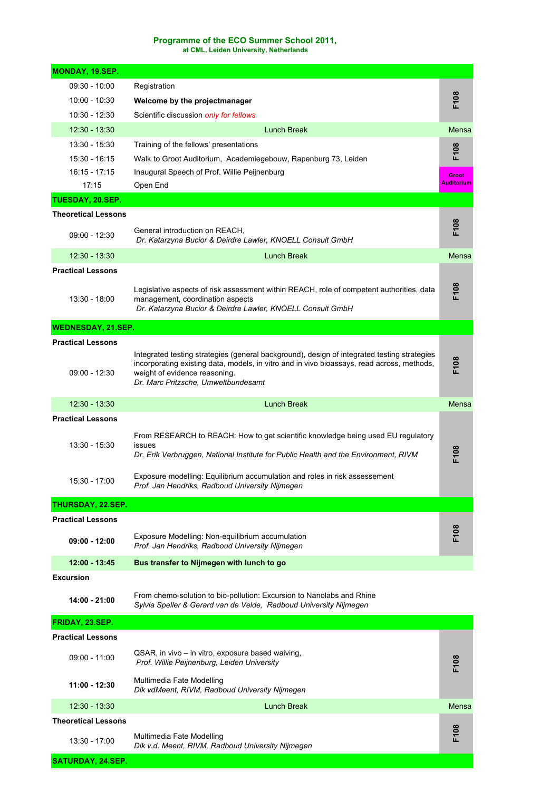## **Programme of the ECO Summer School 2011,**

**at CML, Leiden University, Netherlands** 

| MONDAY, 19.SEP.            |                                                                                                                                                                                                                                                                   |                  |
|----------------------------|-------------------------------------------------------------------------------------------------------------------------------------------------------------------------------------------------------------------------------------------------------------------|------------------|
| $09:30 - 10:00$            | Registration                                                                                                                                                                                                                                                      |                  |
| $10:00 - 10:30$            | Welcome by the projectmanager                                                                                                                                                                                                                                     | F108             |
| 10:30 - 12:30              | Scientific discussion only for fellows                                                                                                                                                                                                                            |                  |
| $12:30 - 13:30$            | Lunch Break                                                                                                                                                                                                                                                       | Mensa            |
| $13:30 - 15:30$            | Training of the fellows' presentations                                                                                                                                                                                                                            |                  |
| 15:30 - 16:15              | Walk to Groot Auditorium, Academiegebouw, Rapenburg 73, Leiden                                                                                                                                                                                                    | F108             |
| $16:15 - 17:15$            | Inaugural Speech of Prof. Willie Peijnenburg                                                                                                                                                                                                                      | Groot            |
| 17:15                      | Open End                                                                                                                                                                                                                                                          | Auditorium       |
| TUESDAY, 20.SEP.           |                                                                                                                                                                                                                                                                   |                  |
| <b>Theoretical Lessons</b> |                                                                                                                                                                                                                                                                   |                  |
| $09:00 - 12:30$            | General introduction on REACH,<br>Dr. Katarzyna Bucior & Deirdre Lawler, KNOELL Consult GmbH                                                                                                                                                                      | F108             |
| $12:30 - 13:30$            | <b>Lunch Break</b>                                                                                                                                                                                                                                                | <b>Mensa</b>     |
| <b>Practical Lessons</b>   |                                                                                                                                                                                                                                                                   |                  |
| 13:30 - 18:00              | Legislative aspects of risk assessment within REACH, role of competent authorities, data<br>management, coordination aspects<br>Dr. Katarzyna Bucior & Deirdre Lawler, KNOELL Consult GmbH                                                                        | F108             |
| <b>WEDNESDAY, 21.SEP.</b>  |                                                                                                                                                                                                                                                                   |                  |
| <b>Practical Lessons</b>   |                                                                                                                                                                                                                                                                   |                  |
| $09:00 - 12:30$            | Integrated testing strategies (general background), design of integrated testing strategies<br>incorporating existing data, models, in vitro and in vivo bioassays, read across, methods,<br>weight of evidence reasoning.<br>Dr. Marc Pritzsche, Umweltbundesamt | F108             |
| $12:30 - 13:30$            | <b>Lunch Break</b>                                                                                                                                                                                                                                                | <b>Mensa</b>     |
| <b>Practical Lessons</b>   |                                                                                                                                                                                                                                                                   |                  |
| 13:30 - 15:30              | From RESEARCH to REACH: How to get scientific knowledge being used EU regulatory<br>issues<br>Dr. Erik Verbruggen, National Institute for Public Health and the Environment, RIVM                                                                                 | F <sub>108</sub> |
| 15:30 - 17:00              | Exposure modelling: Equilibrium accumulation and roles in risk assessement<br>Prof. Jan Hendriks, Radboud University Nijmegen                                                                                                                                     |                  |
| THURSDAY, 22.SEP.          |                                                                                                                                                                                                                                                                   |                  |
| <b>Practical Lessons</b>   |                                                                                                                                                                                                                                                                   |                  |
| $09:00 - 12:00$            | Exposure Modelling: Non-equilibrium accumulation<br>Prof. Jan Hendriks, Radboud University Nijmegen                                                                                                                                                               | F108             |
| 12:00 - 13:45              | Bus transfer to Nijmegen with lunch to go                                                                                                                                                                                                                         |                  |
| <b>Excursion</b>           |                                                                                                                                                                                                                                                                   |                  |
| 14:00 - 21:00              | From chemo-solution to bio-pollution: Excursion to Nanolabs and Rhine<br>Sylvia Speller & Gerard van de Velde, Radboud University Nijmegen                                                                                                                        |                  |
| FRIDAY, 23.SEP.            |                                                                                                                                                                                                                                                                   |                  |
| <b>Practical Lessons</b>   |                                                                                                                                                                                                                                                                   |                  |
| $09:00 - 11:00$            | QSAR, in vivo – in vitro, exposure based waiving,<br>Prof. Willie Peijnenburg, Leiden University                                                                                                                                                                  | F108             |
| 11:00 - 12:30              | Multimedia Fate Modelling<br>Dik vdMeent, RIVM, Radboud University Nijmegen                                                                                                                                                                                       |                  |
| $12:30 - 13:30$            | <b>Lunch Break</b>                                                                                                                                                                                                                                                | Mensa            |
| <b>Theoretical Lessons</b> |                                                                                                                                                                                                                                                                   |                  |
| 13:30 - 17:00              | Multimedia Fate Modelling<br>Dik v.d. Meent, RIVM, Radboud University Nijmegen                                                                                                                                                                                    | F108             |
| SATURDAY, 24.SEP.          |                                                                                                                                                                                                                                                                   |                  |